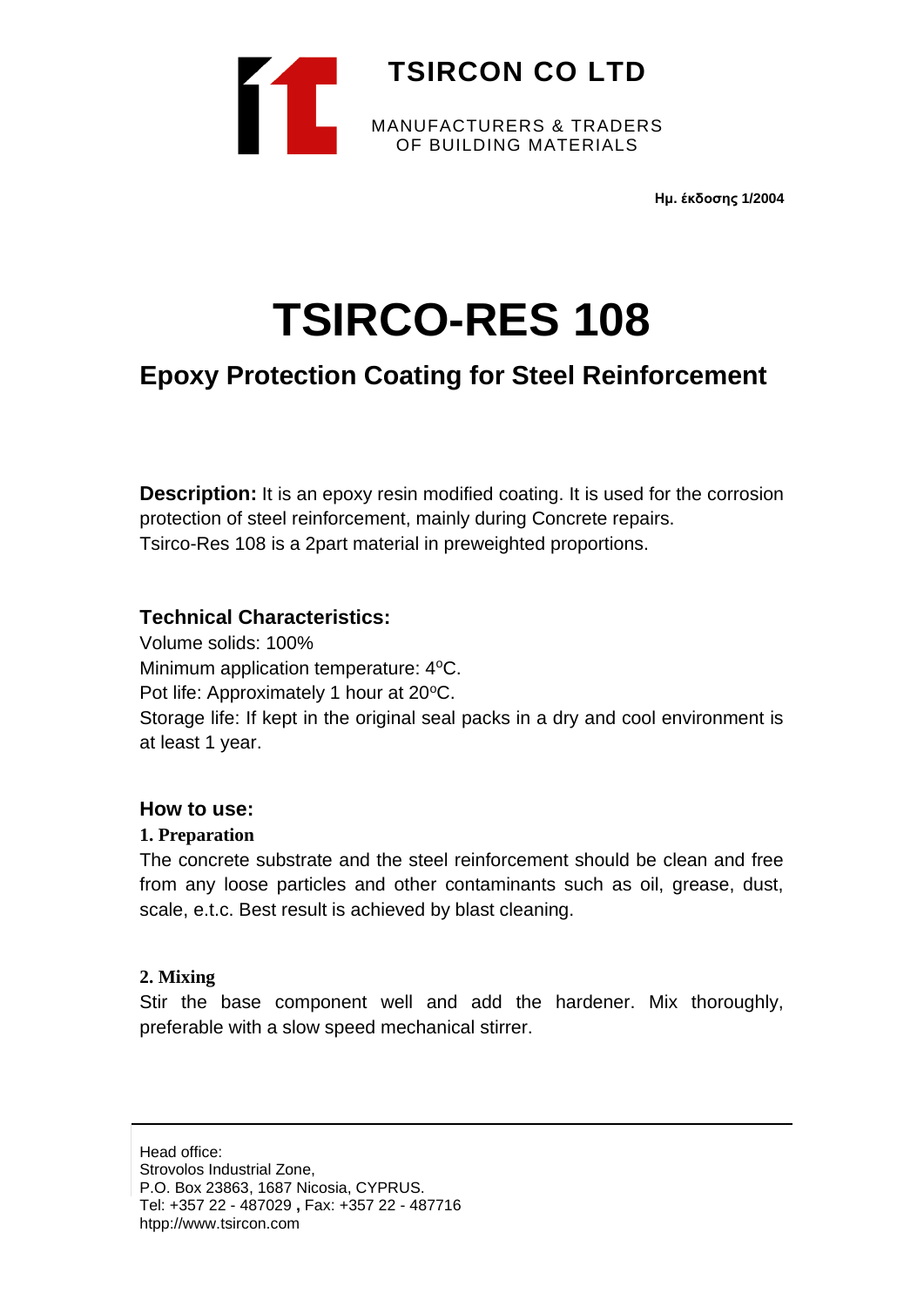

**Ημ. έκδοσης 1/2004**

# **TSIRCO-RES 108**

## **Epoxy Protection Coating for Steel Reinforcement**

**Description:** It is an epoxy resin modified coating. It is used for the corrosion protection of steel reinforcement, mainly during Concrete repairs. Tsirco-Res 108 is a 2part material in preweighted proportions.

### **Technical Characteristics:**

Volume solids: 100% Minimum application temperature: 4°C. Pot life: Approximately 1 hour at 20°C. Storage life: If kept in the original seal packs in a dry and cool environment is at least 1 year.

#### **How to use:**

#### **1. Preparation**

The concrete substrate and the steel reinforcement should be clean and free from any loose particles and other contaminants such as oil, grease, dust, scale, e.t.c. Best result is achieved by blast cleaning.

#### **2. Mixing**

Stir the base component well and add the hardener. Mix thoroughly, preferable with a slow speed mechanical stirrer.

Head office: Strovolos Industrial Zone, P.O. Box 23863, 1687 Nicosia, CYPRUS. Tel: +357 22 - 487029 **,** Fax: +357 22 - 487716 htpp://www.tsircon.com